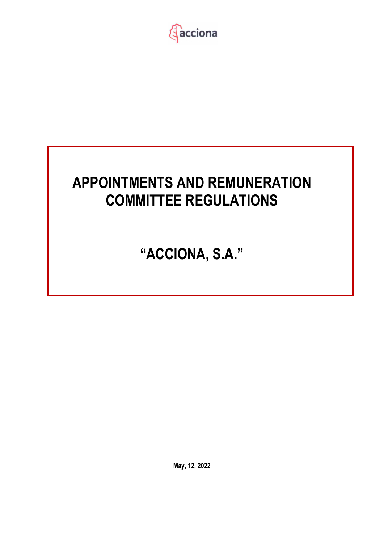

# **APPOINTMENTS AND REMUNERATION COMMITTEE REGULATIONS**

**"ACCIONA, S.A."** 

**May, 12, 2022**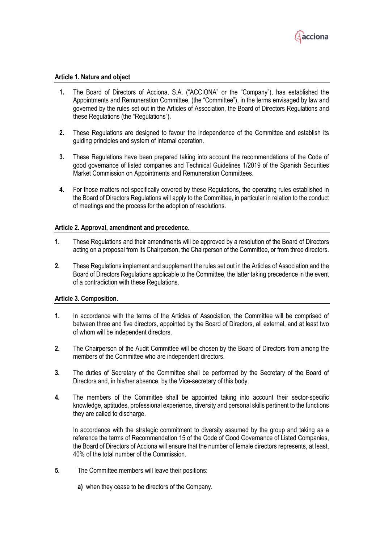

## **Article 1. Nature and object**

- **1.** The Board of Directors of Acciona, S.A. ("ACCIONA" or the "Company"), has established the Appointments and Remuneration Committee, (the "Committee"), in the terms envisaged by law and governed by the rules set out in the Articles of Association, the Board of Directors Regulations and these Regulations (the "Regulations").
- **2.** These Regulations are designed to favour the independence of the Committee and establish its guiding principles and system of internal operation.
- **3.** These Regulations have been prepared taking into account the recommendations of the Code of good governance of listed companies and Technical Guidelines 1/2019 of the Spanish Securities Market Commission on Appointments and Remuneration Committees.
- **4.** For those matters not specifically covered by these Regulations, the operating rules established in the Board of Directors Regulations will apply to the Committee, in particular in relation to the conduct of meetings and the process for the adoption of resolutions.

### **Article 2. Approval, amendment and precedence.**

- **1.** These Regulations and their amendments will be approved by a resolution of the Board of Directors acting on a proposal from its Chairperson, the Chairperson of the Committee, or from three directors.
- **2.** These Regulations implement and supplement the rules set out in the Articles of Association and the Board of Directors Regulations applicable to the Committee, the latter taking precedence in the event of a contradiction with these Regulations.

#### **Article 3. Composition.**

- **1.** In accordance with the terms of the Articles of Association, the Committee will be comprised of between three and five directors, appointed by the Board of Directors, all external, and at least two of whom will be independent directors.
- **2.** The Chairperson of the Audit Committee will be chosen by the Board of Directors from among the members of the Committee who are independent directors.
- **3.** The duties of Secretary of the Committee shall be performed by the Secretary of the Board of Directors and, in his/her absence, by the Vice-secretary of this body.
- **4.** The members of the Committee shall be appointed taking into account their sector-specific knowledge, aptitudes, professional experience, diversity and personal skills pertinent to the functions they are called to discharge.

 In accordance with the strategic commitment to diversity assumed by the group and taking as a reference the terms of Recommendation 15 of the Code of Good Governance of Listed Companies, the Board of Directors of Acciona will ensure that the number of female directors represents, at least, 40% of the total number of the Commission.

- **5.** The Committee members will leave their positions:
	- **a)** when they cease to be directors of the Company.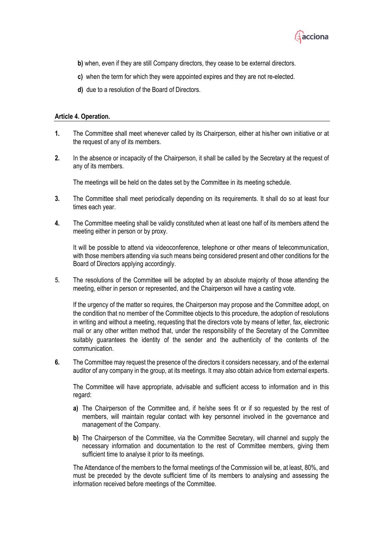

- **b)** when, even if they are still Company directors, they cease to be external directors.
- **c)** when the term for which they were appointed expires and they are not re-elected.
- **d)** due to a resolution of the Board of Directors.

#### **Article 4. Operation.**

- **1.** The Committee shall meet whenever called by its Chairperson, either at his/her own initiative or at the request of any of its members.
- **2.** In the absence or incapacity of the Chairperson, it shall be called by the Secretary at the request of any of its members.

The meetings will be held on the dates set by the Committee in its meeting schedule.

- **3.** The Committee shall meet periodically depending on its requirements. It shall do so at least four times each year.
- **4.** The Committee meeting shall be validly constituted when at least one half of its members attend the meeting either in person or by proxy.

It will be possible to attend via videoconference, telephone or other means of telecommunication, with those members attending via such means being considered present and other conditions for the Board of Directors applying accordingly.

**5.** The resolutions of the Committee will be adopted by an absolute majority of those attending the meeting, either in person or represented, and the Chairperson will have a casting vote.

If the urgency of the matter so requires, the Chairperson may propose and the Committee adopt, on the condition that no member of the Committee objects to this procedure, the adoption of resolutions in writing and without a meeting, requesting that the directors vote by means of letter, fax, electronic mail or any other written method that, under the responsibility of the Secretary of the Committee suitably guarantees the identity of the sender and the authenticity of the contents of the communication.

**6.** The Committee may request the presence of the directors it considers necessary, and of the external auditor of any company in the group, at its meetings. It may also obtain advice from external experts.

The Committee will have appropriate, advisable and sufficient access to information and in this regard:

- **a)** The Chairperson of the Committee and, if he/she sees fit or if so requested by the rest of members, will maintain regular contact with key personnel involved in the governance and management of the Company.
- **b)** The Chairperson of the Committee, via the Committee Secretary, will channel and supply the necessary information and documentation to the rest of Committee members, giving them sufficient time to analyse it prior to its meetings.

The Attendance of the members to the formal meetings of the Commission will be, at least, 80%, and must be preceded by the devote sufficient time of its members to analysing and assessing the information received before meetings of the Committee.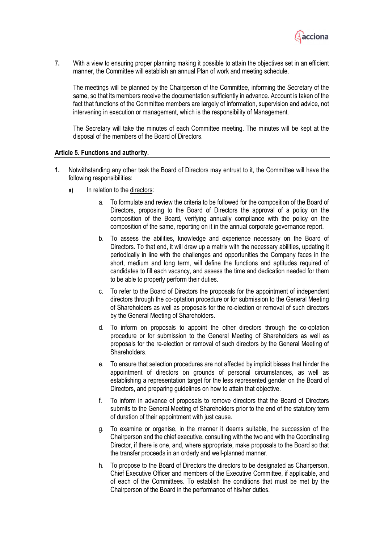

**7.** With a view to ensuring proper planning making it possible to attain the objectives set in an efficient manner, the Committee will establish an annual Plan of work and meeting schedule.

The meetings will be planned by the Chairperson of the Committee, informing the Secretary of the same, so that its members receive the documentation sufficiently in advance. Account is taken of the fact that functions of the Committee members are largely of information, supervision and advice, not intervening in execution or management, which is the responsibility of Management.

The Secretary will take the minutes of each Committee meeting. The minutes will be kept at the disposal of the members of the Board of Directors.

### **Article 5. Functions and authority.**

- **1.** Notwithstanding any other task the Board of Directors may entrust to it, the Committee will have the following responsibilities:
	- **a)** In relation to the directors:
		- a. To formulate and review the criteria to be followed for the composition of the Board of Directors, proposing to the Board of Directors the approval of a policy on the composition of the Board, verifying annually compliance with the policy on the composition of the same, reporting on it in the annual corporate governance report.
		- b. To assess the abilities, knowledge and experience necessary on the Board of Directors. To that end, it will draw up a matrix with the necessary abilities, updating it periodically in line with the challenges and opportunities the Company faces in the short, medium and long term, will define the functions and aptitudes required of candidates to fill each vacancy, and assess the time and dedication needed for them to be able to properly perform their duties.
		- c. To refer to the Board of Directors the proposals for the appointment of independent directors through the co-optation procedure or for submission to the General Meeting of Shareholders as well as proposals for the re-election or removal of such directors by the General Meeting of Shareholders.
		- d. To inform on proposals to appoint the other directors through the co-optation procedure or for submission to the General Meeting of Shareholders as well as proposals for the re-election or removal of such directors by the General Meeting of Shareholders.
		- e. To ensure that selection procedures are not affected by implicit biases that hinder the appointment of directors on grounds of personal circumstances, as well as establishing a representation target for the less represented gender on the Board of Directors, and preparing guidelines on how to attain that objective.
		- f. To inform in advance of proposals to remove directors that the Board of Directors submits to the General Meeting of Shareholders prior to the end of the statutory term of duration of their appointment with just cause.
		- g. To examine or organise, in the manner it deems suitable, the succession of the Chairperson and the chief executive, consulting with the two and with the Coordinating Director, if there is one, and, where appropriate, make proposals to the Board so that the transfer proceeds in an orderly and well-planned manner.
		- h. To propose to the Board of Directors the directors to be designated as Chairperson, Chief Executive Officer and members of the Executive Committee, if applicable, and of each of the Committees. To establish the conditions that must be met by the Chairperson of the Board in the performance of his/her duties.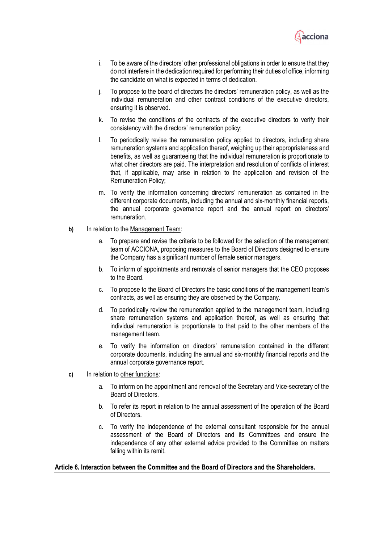

- i. To be aware of the directors' other professional obligations in order to ensure that they do not interfere in the dedication required for performing their duties of office, informing the candidate on what is expected in terms of dedication.
- j. To propose to the board of directors the directors' remuneration policy, as well as the individual remuneration and other contract conditions of the executive directors, ensuring it is observed.
- k. To revise the conditions of the contracts of the executive directors to verify their consistency with the directors' remuneration policy;
- l. To periodically revise the remuneration policy applied to directors, including share remuneration systems and application thereof, weighing up their appropriateness and benefits, as well as guaranteeing that the individual remuneration is proportionate to what other directors are paid. The interpretation and resolution of conflicts of interest that, if applicable, may arise in relation to the application and revision of the Remuneration Policy;
- m. To verify the information concerning directors' remuneration as contained in the different corporate documents, including the annual and six-monthly financial reports, the annual corporate governance report and the annual report on directors' remuneration.
- **b)** In relation to the Management Team:
	- a. To prepare and revise the criteria to be followed for the selection of the management team of ACCIONA, proposing measures to the Board of Directors designed to ensure the Company has a significant number of female senior managers.
	- b. To inform of appointments and removals of senior managers that the CEO proposes to the Board.
	- c. To propose to the Board of Directors the basic conditions of the management team's contracts, as well as ensuring they are observed by the Company.
	- d. To periodically review the remuneration applied to the management team, including share remuneration systems and application thereof, as well as ensuring that individual remuneration is proportionate to that paid to the other members of the management team.
	- e. To verify the information on directors' remuneration contained in the different corporate documents, including the annual and six-monthly financial reports and the annual corporate governance report.
- **c)** In relation to other functions:
	- a. To inform on the appointment and removal of the Secretary and Vice-secretary of the Board of Directors.
	- b. To refer its report in relation to the annual assessment of the operation of the Board of Directors.
	- c. To verify the independence of the external consultant responsible for the annual assessment of the Board of Directors and its Committees and ensure the independence of any other external advice provided to the Committee on matters falling within its remit.

### **Article 6. Interaction between the Committee and the Board of Directors and the Shareholders.**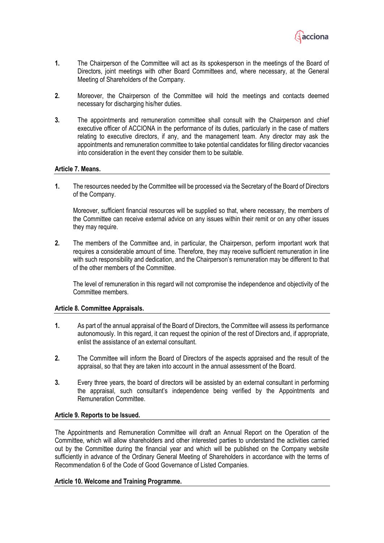

- **1.** The Chairperson of the Committee will act as its spokesperson in the meetings of the Board of Directors, joint meetings with other Board Committees and, where necessary, at the General Meeting of Shareholders of the Company.
- **2.** Moreover, the Chairperson of the Committee will hold the meetings and contacts deemed necessary for discharging his/her duties.
- **3.** The appointments and remuneration committee shall consult with the Chairperson and chief executive officer of ACCIONA in the performance of its duties, particularly in the case of matters relating to executive directors, if any, and the management team. Any director may ask the appointments and remuneration committee to take potential candidates for filling director vacancies into consideration in the event they consider them to be suitable.

# **Article 7. Means.**

**1.** The resources needed by the Committee will be processed via the Secretary of the Board of Directors of the Company.

Moreover, sufficient financial resources will be supplied so that, where necessary, the members of the Committee can receive external advice on any issues within their remit or on any other issues they may require.

**2.** The members of the Committee and, in particular, the Chairperson, perform important work that requires a considerable amount of time. Therefore, they may receive sufficient remuneration in line with such responsibility and dedication, and the Chairperson's remuneration may be different to that of the other members of the Committee.

The level of remuneration in this regard will not compromise the independence and objectivity of the Committee members.

# **Article 8. Committee Appraisals.**

- **1.** As part of the annual appraisal of the Board of Directors, the Committee will assess its performance autonomously. In this regard, it can request the opinion of the rest of Directors and, if appropriate, enlist the assistance of an external consultant.
- **2.** The Committee will inform the Board of Directors of the aspects appraised and the result of the appraisal, so that they are taken into account in the annual assessment of the Board.
- **3.** Every three years, the board of directors will be assisted by an external consultant in performing the appraisal, such consultant's independence being verified by the Appointments and Remuneration Committee.

# **Article 9. Reports to be Issued.**

The Appointments and Remuneration Committee will draft an Annual Report on the Operation of the Committee, which will allow shareholders and other interested parties to understand the activities carried out by the Committee during the financial year and which will be published on the Company website sufficiently in advance of the Ordinary General Meeting of Shareholders in accordance with the terms of Recommendation 6 of the Code of Good Governance of Listed Companies.

# **Article 10. Welcome and Training Programme.**